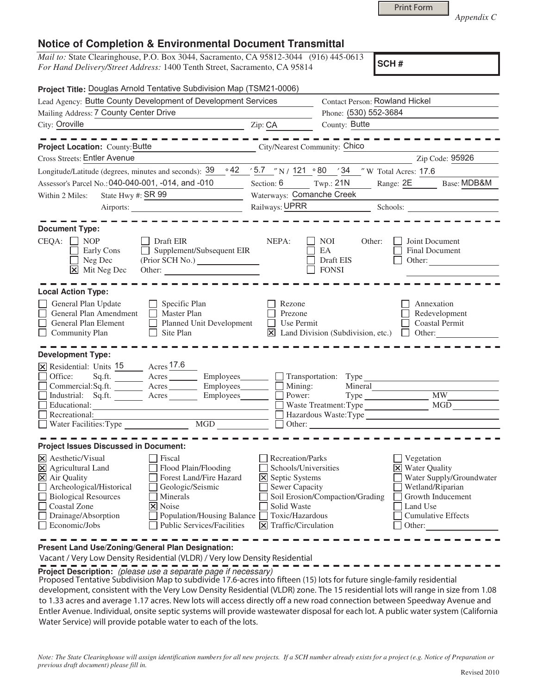|  | <b>Print Form</b> |
|--|-------------------|
|  |                   |

*Appendix C* 

## **Notice of Completion & Environmental Document Transmittal**

*Mail to:* State Clearinghouse, P.O. Box 3044, Sacramento, CA 95812-3044 (916) 445-0613 *For Hand Delivery/Street Address:* 1400 Tenth Street, Sacramento, CA 95814

**SCH #**

| Project Title: Douglas Arnold Tentative Subdivision Map (TSM21-0006)                                                                                                                                                                                                                                                                                                   |                                                                                                                                                                         |                                                         |                                                                                                                                                       |  |
|------------------------------------------------------------------------------------------------------------------------------------------------------------------------------------------------------------------------------------------------------------------------------------------------------------------------------------------------------------------------|-------------------------------------------------------------------------------------------------------------------------------------------------------------------------|---------------------------------------------------------|-------------------------------------------------------------------------------------------------------------------------------------------------------|--|
| Lead Agency: Butte County Development of Development Services                                                                                                                                                                                                                                                                                                          |                                                                                                                                                                         |                                                         | <b>Contact Person: Rowland Hickel</b>                                                                                                                 |  |
| Mailing Address: 7 County Center Drive                                                                                                                                                                                                                                                                                                                                 |                                                                                                                                                                         | Phone: (530) 552-3684                                   |                                                                                                                                                       |  |
| City: Oroville<br><u> 1989 - Johann Barn, mars ann an t-Amhair ann an t-Amhair an t-Amhair ann an t-Amhair an t-Amhair ann an t-Amh</u>                                                                                                                                                                                                                                | Zip: CA                                                                                                                                                                 | County: Butte                                           |                                                                                                                                                       |  |
| ----------------<br><b>Project Location: County: Butte</b><br>City/Nearest Community: Chico                                                                                                                                                                                                                                                                            |                                                                                                                                                                         |                                                         |                                                                                                                                                       |  |
| <b>Cross Streets: Entler Avenue</b>                                                                                                                                                                                                                                                                                                                                    |                                                                                                                                                                         |                                                         | Zip Code: 95926                                                                                                                                       |  |
| Longitude/Latitude (degrees, minutes and seconds): $\frac{39}{9}$ $\frac{42}{5.7}$ $\frac{5.7}{1}$ N / $\frac{121}{2}$ $\frac{80}{5}$ $\frac{34}{3}$ W Total Acres: 17.6                                                                                                                                                                                               |                                                                                                                                                                         |                                                         |                                                                                                                                                       |  |
| Assessor's Parcel No.: 040-040-001, -014, and -010                                                                                                                                                                                                                                                                                                                     | Section: $6 \qquad \text{Two: } 21N$                                                                                                                                    |                                                         | Range: 2E Base: MDB&M                                                                                                                                 |  |
| State Hwy #: SR 99<br>Within 2 Miles:<br><u> 1990 - Johann Barbara, martin a</u>                                                                                                                                                                                                                                                                                       | Waterways: Comanche Creek                                                                                                                                               |                                                         |                                                                                                                                                       |  |
|                                                                                                                                                                                                                                                                                                                                                                        |                                                                                                                                                                         | Railways: UPRR<br>Schools:                              |                                                                                                                                                       |  |
| <b>Document Type:</b><br>$CEQA: \Box NOP$<br>$\Box$ Draft EIR<br>$\Box$ Supplement/Subsequent EIR<br>Early Cons<br>$\Box$ Neg Dec<br>$\boxed{\mathsf{X}}$ Mit Neg Dec                                                                                                                                                                                                  | NEPA:                                                                                                                                                                   | <b>NOI</b><br>Other:<br>EA<br>Draft EIS<br><b>FONSI</b> | Joint Document<br>Final Document<br>Other:                                                                                                            |  |
| <b>Local Action Type:</b>                                                                                                                                                                                                                                                                                                                                              |                                                                                                                                                                         |                                                         |                                                                                                                                                       |  |
| General Plan Update<br>Specific Plan<br>$\Box$<br>General Plan Amendment<br>Master Plan<br>$\Box$<br>General Plan Element<br>Planned Unit Development<br>$\Box$ Community Plan<br>Site Plan<br><b>Development Type:</b>                                                                                                                                                | Rezone<br>Prezone<br>Use Permit                                                                                                                                         | $\boxtimes$ Land Division (Subdivision, etc.)           | Annexation<br>Redevelopment<br><b>Coastal Permit</b><br>$\Box$ Other:                                                                                 |  |
| X Residential: Units 15 Acres 17.6                                                                                                                                                                                                                                                                                                                                     |                                                                                                                                                                         |                                                         |                                                                                                                                                       |  |
| Office:                                                                                                                                                                                                                                                                                                                                                                |                                                                                                                                                                         |                                                         |                                                                                                                                                       |  |
| Commercial:Sq.ft. _______ Acres _______ Employees_______                                                                                                                                                                                                                                                                                                               |                                                                                                                                                                         | Mining:<br>Mineral                                      |                                                                                                                                                       |  |
| Industrial: Sq.ft. <u>Acres</u> Acres<br>Employees________                                                                                                                                                                                                                                                                                                             |                                                                                                                                                                         | Power:                                                  | Type MW                                                                                                                                               |  |
|                                                                                                                                                                                                                                                                                                                                                                        |                                                                                                                                                                         | Waste Treatment: Type                                   | <b>MGD</b>                                                                                                                                            |  |
| $\Box$ Recreational:                                                                                                                                                                                                                                                                                                                                                   |                                                                                                                                                                         |                                                         | Hazardous Waste:Type                                                                                                                                  |  |
|                                                                                                                                                                                                                                                                                                                                                                        |                                                                                                                                                                         | Other:                                                  |                                                                                                                                                       |  |
| <b>Project Issues Discussed in Document:</b>                                                                                                                                                                                                                                                                                                                           |                                                                                                                                                                         |                                                         |                                                                                                                                                       |  |
| $\times$ Aesthetic/Visual<br>Fiscal<br>X Agricultural Land<br>Flood Plain/Flooding<br>X Air Quality<br>Forest Land/Fire Hazard<br>Archeological/Historical<br>Geologic/Seismic<br><b>Biological Resources</b><br>Minerals<br>Coastal Zone<br><b>X</b> Noise<br>Population/Housing Balance<br>Drainage/Absorption<br><b>Public Services/Facilities</b><br>Economic/Jobs | Recreation/Parks<br>Schools/Universities<br><b>X</b> Septic Systems<br>Sewer Capacity<br>Solid Waste<br>Toxic/Hazardous<br>$\vert\overline{x}\vert$ Traffic/Circulation | Soil Erosion/Compaction/Grading                         | Vegetation<br>X Water Quality<br>Water Supply/Groundwater<br>Wetland/Riparian<br>Growth Inducement<br>Land Use<br><b>Cumulative Effects</b><br>Other: |  |

**Present Land Use/Zoning/General Plan Designation:**

Vacant / Very Low Density Residential (VLDR) / Very low Density Residential

**Project Description:** (please use a separate page if necessary)

 Proposed Tentative Subdivision Map to subdivide 17.6-acres into fifteen (15) lots for future single-family residential development, consistent with the Very Low Density Residential (VLDR) zone. The 15 residential lots will range in size from 1.08 to 1.33 acres and average 1.17 acres. New lots will access directly off a new road connection between Speedway Avenue and Entler Avenue. Individual, onsite septic systems will provide wastewater disposal for each lot. A public water system (California Water Service) will provide potable water to each of the lots.

*Note: The State Clearinghouse will assign identification numbers for all new projects. If a SCH number already exists for a project (e.g. Notice of Preparation or previous draft document) please fill in.*